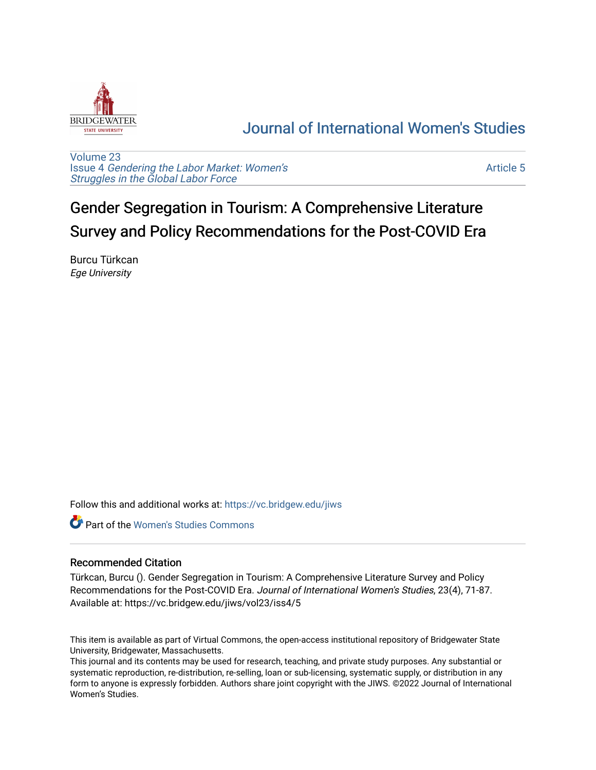

## [Journal of International Women's Studies](https://vc.bridgew.edu/jiws)

[Volume 23](https://vc.bridgew.edu/jiws/vol23) Issue 4 [Gendering the Labor Market: Women's](https://vc.bridgew.edu/jiws/vol23/iss4) [Struggles in the Global Labor Force](https://vc.bridgew.edu/jiws/vol23/iss4)

[Article 5](https://vc.bridgew.edu/jiws/vol23/iss4/5) 

# Gender Segregation in Tourism: A Comprehensive Literature Survey and Policy Recommendations for the Post-COVID Era

Burcu Türkcan Ege University

Follow this and additional works at: [https://vc.bridgew.edu/jiws](https://vc.bridgew.edu/jiws?utm_source=vc.bridgew.edu%2Fjiws%2Fvol23%2Fiss4%2F5&utm_medium=PDF&utm_campaign=PDFCoverPages)

**C** Part of the Women's Studies Commons

#### Recommended Citation

Türkcan, Burcu (). Gender Segregation in Tourism: A Comprehensive Literature Survey and Policy Recommendations for the Post-COVID Era. Journal of International Women's Studies, 23(4), 71-87. Available at: https://vc.bridgew.edu/jiws/vol23/iss4/5

This item is available as part of Virtual Commons, the open-access institutional repository of Bridgewater State University, Bridgewater, Massachusetts.

This journal and its contents may be used for research, teaching, and private study purposes. Any substantial or systematic reproduction, re-distribution, re-selling, loan or sub-licensing, systematic supply, or distribution in any form to anyone is expressly forbidden. Authors share joint copyright with the JIWS. ©2022 Journal of International Women's Studies.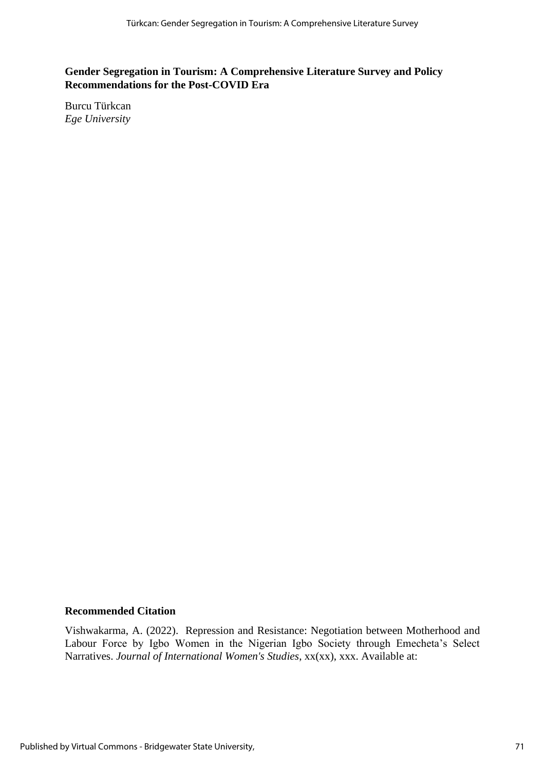## **Gender Segregation in Tourism: A Comprehensive Literature Survey and Policy Recommendations for the Post-COVID Era**

Burcu Türkcan *Ege University*

## **Recommended Citation**

Vishwakarma, A. (2022). Repression and Resistance: Negotiation between Motherhood and Labour Force by Igbo Women in the Nigerian Igbo Society through Emecheta's Select Narratives. *Journal of International Women's Studies*, xx(xx), xxx. Available at: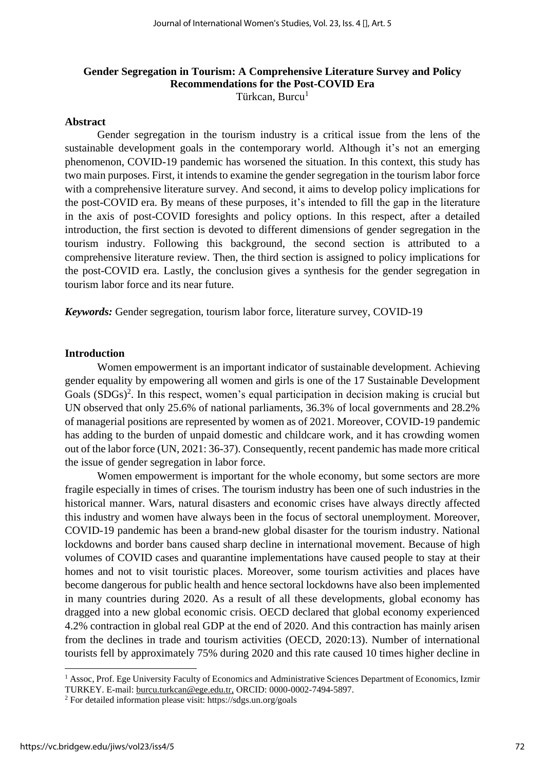## **Gender Segregation in Tourism: A Comprehensive Literature Survey and Policy Recommendations for the Post-COVID Era** Türkcan, Burcu<sup>1</sup>

#### **Abstract**

Gender segregation in the tourism industry is a critical issue from the lens of the sustainable development goals in the contemporary world. Although it's not an emerging phenomenon, COVID-19 pandemic has worsened the situation. In this context, this study has two main purposes. First, it intends to examine the gender segregation in the tourism labor force with a comprehensive literature survey. And second, it aims to develop policy implications for the post-COVID era. By means of these purposes, it's intended to fill the gap in the literature in the axis of post-COVID foresights and policy options. In this respect, after a detailed introduction, the first section is devoted to different dimensions of gender segregation in the tourism industry. Following this background, the second section is attributed to a comprehensive literature review. Then, the third section is assigned to policy implications for the post-COVID era. Lastly, the conclusion gives a synthesis for the gender segregation in tourism labor force and its near future.

*Keywords:* Gender segregation, tourism labor force, literature survey, COVID-19

#### **Introduction**

Women empowerment is an important indicator of sustainable development. Achieving gender equality by empowering all women and girls is one of the 17 Sustainable Development Goals (SDGs)<sup>2</sup>. In this respect, women's equal participation in decision making is crucial but UN observed that only 25.6% of national parliaments, 36.3% of local governments and 28.2% of managerial positions are represented by women as of 2021. Moreover, COVID-19 pandemic has adding to the burden of unpaid domestic and childcare work, and it has crowding women out of the labor force (UN, 2021: 36-37). Consequently, recent pandemic has made more critical the issue of gender segregation in labor force.

Women empowerment is important for the whole economy, but some sectors are more fragile especially in times of crises. The tourism industry has been one of such industries in the historical manner. Wars, natural disasters and economic crises have always directly affected this industry and women have always been in the focus of sectoral unemployment. Moreover, COVID-19 pandemic has been a brand-new global disaster for the tourism industry. National lockdowns and border bans caused sharp decline in international movement. Because of high volumes of COVID cases and quarantine implementations have caused people to stay at their homes and not to visit touristic places. Moreover, some tourism activities and places have become dangerous for public health and hence sectoral lockdowns have also been implemented in many countries during 2020. As a result of all these developments, global economy has dragged into a new global economic crisis. OECD declared that global economy experienced 4.2% contraction in global real GDP at the end of 2020. And this contraction has mainly arisen from the declines in trade and tourism activities (OECD, 2020:13). Number of international tourists fell by approximately 75% during 2020 and this rate caused 10 times higher decline in

<sup>&</sup>lt;sup>1</sup> Assoc, Prof. Ege University Faculty of Economics and Administrative Sciences Department of Economics, Izmir TURKEY. E-mail: [burcu.turkcan@ege.edu.tr,](mailto:burcu.turkcan@ege.edu.tr) ORCID: 0000-0002-7494-5897.

<sup>2</sup> For detailed information please visit: https://sdgs.un.org/goals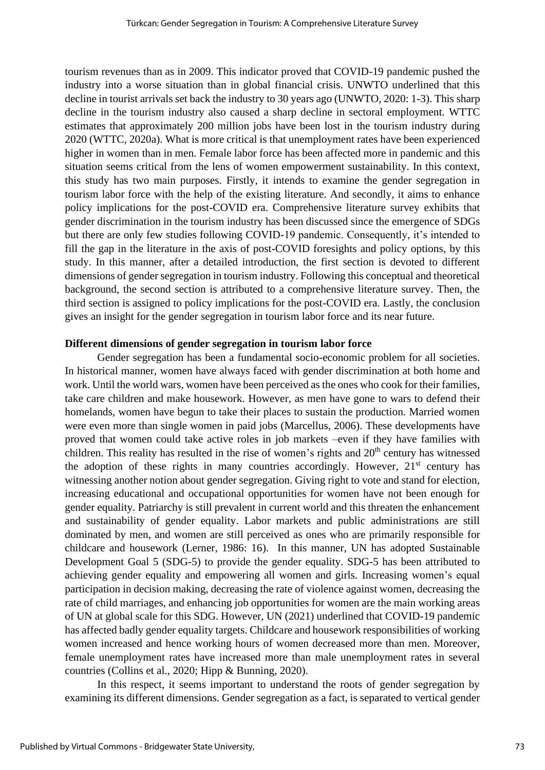tourism revenues than as in 2009. This indicator proved that COVID-19 pandemic pushed the industry into a worse situation than in global financial crisis. UNWTO underlined that this decline in tourist arrivals set back the industry to 30 years ago (UNWTO, 2020: 1-3). This sharp decline in the tourism industry also caused a sharp decline in sectoral employment. WTTC estimates that approximately 200 million jobs have been lost in the tourism industry during 2020 (WTTC, 2020a). What is more critical is that unemployment rates have been experienced higher in women than in men. Female labor force has been affected more in pandemic and this situation seems critical from the lens of women empowerment sustainability. In this context, this study has two main purposes. Firstly, it intends to examine the gender segregation in tourism labor force with the help of the existing literature. And secondly, it aims to enhance policy implications for the post-COVID era. Comprehensive literature survey exhibits that gender discrimination in the tourism industry has been discussed since the emergence of SDGs but there are only few studies following COVID-19 pandemic. Consequently, it's intended to fill the gap in the literature in the axis of post-COVID foresights and policy options, by this study. In this manner, after a detailed introduction, the first section is devoted to different dimensions of gender segregation in tourism industry. Following this conceptual and theoretical background, the second section is attributed to a comprehensive literature survey. Then, the third section is assigned to policy implications for the post-COVID era. Lastly, the conclusion gives an insight for the gender segregation in tourism labor force and its near future.

#### **Different dimensions of gender segregation in tourism labor force**

Gender segregation has been a fundamental socio-economic problem for all societies. In historical manner, women have always faced with gender discrimination at both home and work. Until the world wars, women have been perceived as the ones who cook for their families, take care children and make housework. However, as men have gone to wars to defend their homelands, women have begun to take their places to sustain the production. Married women were even more than single women in paid jobs (Marcellus, 2006). These developments have proved that women could take active roles in job markets –even if they have families with children. This reality has resulted in the rise of women's rights and  $20<sup>th</sup>$  century has witnessed the adoption of these rights in many countries accordingly. However,  $21<sup>st</sup>$  century has witnessing another notion about gender segregation. Giving right to vote and stand for election, increasing educational and occupational opportunities for women have not been enough for gender equality. Patriarchy is still prevalent in current world and this threaten the enhancement and sustainability of gender equality. Labor markets and public administrations are still dominated by men, and women are still perceived as ones who are primarily responsible for childcare and housework (Lerner, 1986: 16). In this manner, UN has adopted Sustainable Development Goal 5 (SDG-5) to provide the gender equality. SDG-5 has been attributed to achieving gender equality and empowering all women and girls. Increasing women's equal participation in decision making, decreasing the rate of violence against women, decreasing the rate of child marriages, and enhancing job opportunities for women are the main working areas of UN at global scale for this SDG. However, UN (2021) underlined that COVID-19 pandemic has affected badly gender equality targets. Childcare and housework responsibilities of working women increased and hence working hours of women decreased more than men. Moreover, female unemployment rates have increased more than male unemployment rates in several countries (Collins et al., 2020; Hipp & Bunning, 2020).

In this respect, it seems important to understand the roots of gender segregation by examining its different dimensions. Gender segregation as a fact, is separated to vertical gender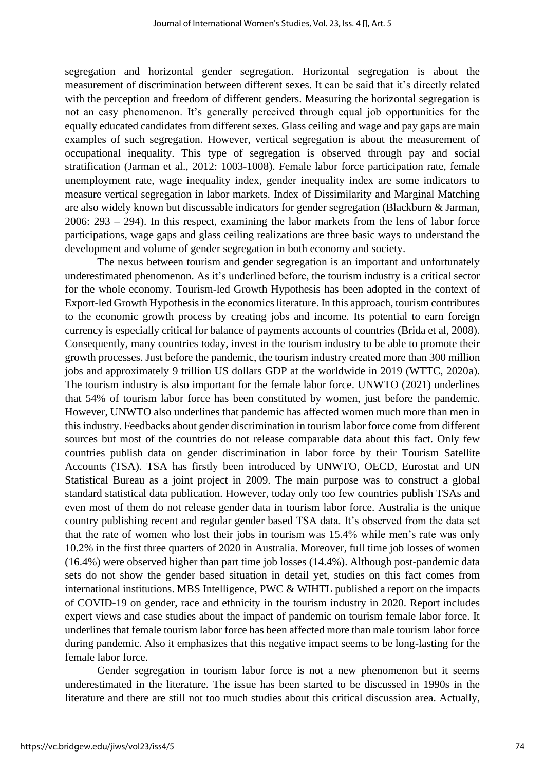segregation and horizontal gender segregation. Horizontal segregation is about the measurement of discrimination between different sexes. It can be said that it's directly related with the perception and freedom of different genders. Measuring the horizontal segregation is not an easy phenomenon. It's generally perceived through equal job opportunities for the equally educated candidates from different sexes. Glass ceiling and wage and pay gaps are main examples of such segregation. However, vertical segregation is about the measurement of occupational inequality. This type of segregation is observed through pay and social stratification (Jarman et al., 2012: 1003-1008). Female labor force participation rate, female unemployment rate, wage inequality index, gender inequality index are some indicators to measure vertical segregation in labor markets. Index of Dissimilarity and Marginal Matching are also widely known but discussable indicators for gender segregation (Blackburn & Jarman, 2006: 293 – 294). In this respect, examining the labor markets from the lens of labor force participations, wage gaps and glass ceiling realizations are three basic ways to understand the development and volume of gender segregation in both economy and society.

The nexus between tourism and gender segregation is an important and unfortunately underestimated phenomenon. As it's underlined before, the tourism industry is a critical sector for the whole economy. Tourism-led Growth Hypothesis has been adopted in the context of Export-led Growth Hypothesis in the economics literature. In this approach, tourism contributes to the economic growth process by creating jobs and income. Its potential to earn foreign currency is especially critical for balance of payments accounts of countries (Brida et al, 2008). Consequently, many countries today, invest in the tourism industry to be able to promote their growth processes. Just before the pandemic, the tourism industry created more than 300 million jobs and approximately 9 trillion US dollars GDP at the worldwide in 2019 (WTTC, 2020a). The tourism industry is also important for the female labor force. UNWTO (2021) underlines that 54% of tourism labor force has been constituted by women, just before the pandemic. However, UNWTO also underlines that pandemic has affected women much more than men in this industry. Feedbacks about gender discrimination in tourism labor force come from different sources but most of the countries do not release comparable data about this fact. Only few countries publish data on gender discrimination in labor force by their Tourism Satellite Accounts (TSA). TSA has firstly been introduced by UNWTO, OECD, Eurostat and UN Statistical Bureau as a joint project in 2009. The main purpose was to construct a global standard statistical data publication. However, today only too few countries publish TSAs and even most of them do not release gender data in tourism labor force. Australia is the unique country publishing recent and regular gender based TSA data. It's observed from the data set that the rate of women who lost their jobs in tourism was 15.4% while men's rate was only 10.2% in the first three quarters of 2020 in Australia. Moreover, full time job losses of women (16.4%) were observed higher than part time job losses (14.4%). Although post-pandemic data sets do not show the gender based situation in detail yet, studies on this fact comes from international institutions. MBS Intelligence, PWC & WIHTL published a report on the impacts of COVID-19 on gender, race and ethnicity in the tourism industry in 2020. Report includes expert views and case studies about the impact of pandemic on tourism female labor force. It underlines that female tourism labor force has been affected more than male tourism labor force during pandemic. Also it emphasizes that this negative impact seems to be long-lasting for the female labor force.

Gender segregation in tourism labor force is not a new phenomenon but it seems underestimated in the literature. The issue has been started to be discussed in 1990s in the literature and there are still not too much studies about this critical discussion area. Actually,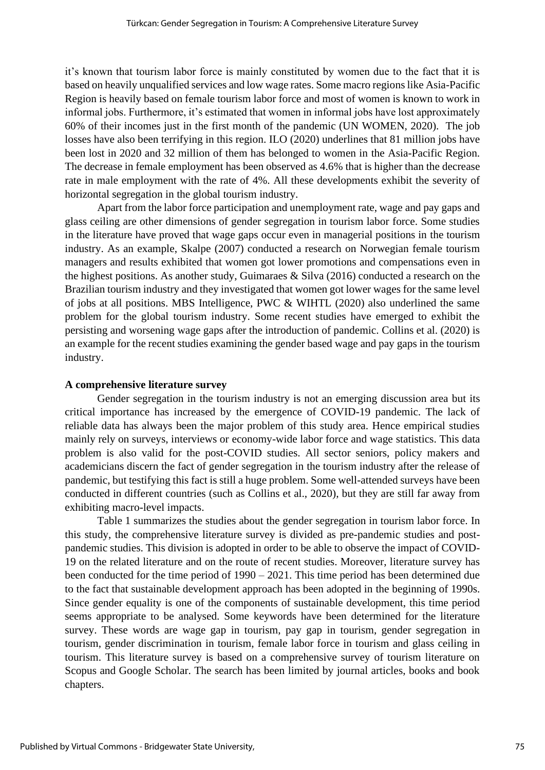it's known that tourism labor force is mainly constituted by women due to the fact that it is based on heavily unqualified services and low wage rates. Some macro regions like Asia-Pacific Region is heavily based on female tourism labor force and most of women is known to work in informal jobs. Furthermore, it's estimated that women in informal jobs have lost approximately 60% of their incomes just in the first month of the pandemic (UN WOMEN, 2020). The job losses have also been terrifying in this region. ILO (2020) underlines that 81 million jobs have been lost in 2020 and 32 million of them has belonged to women in the Asia-Pacific Region. The decrease in female employment has been observed as 4.6% that is higher than the decrease rate in male employment with the rate of 4%. All these developments exhibit the severity of horizontal segregation in the global tourism industry.

Apart from the labor force participation and unemployment rate, wage and pay gaps and glass ceiling are other dimensions of gender segregation in tourism labor force. Some studies in the literature have proved that wage gaps occur even in managerial positions in the tourism industry. As an example, Skalpe (2007) conducted a research on Norwegian female tourism managers and results exhibited that women got lower promotions and compensations even in the highest positions. As another study, Guimaraes & Silva (2016) conducted a research on the Brazilian tourism industry and they investigated that women got lower wages for the same level of jobs at all positions. MBS Intelligence, PWC & WIHTL (2020) also underlined the same problem for the global tourism industry. Some recent studies have emerged to exhibit the persisting and worsening wage gaps after the introduction of pandemic. Collins et al. (2020) is an example for the recent studies examining the gender based wage and pay gaps in the tourism industry.

#### **A comprehensive literature survey**

Gender segregation in the tourism industry is not an emerging discussion area but its critical importance has increased by the emergence of COVID-19 pandemic. The lack of reliable data has always been the major problem of this study area. Hence empirical studies mainly rely on surveys, interviews or economy-wide labor force and wage statistics. This data problem is also valid for the post-COVID studies. All sector seniors, policy makers and academicians discern the fact of gender segregation in the tourism industry after the release of pandemic, but testifying this fact is still a huge problem. Some well-attended surveys have been conducted in different countries (such as Collins et al., 2020), but they are still far away from exhibiting macro-level impacts.

Table 1 summarizes the studies about the gender segregation in tourism labor force. In this study, the comprehensive literature survey is divided as pre-pandemic studies and postpandemic studies. This division is adopted in order to be able to observe the impact of COVID-19 on the related literature and on the route of recent studies. Moreover, literature survey has been conducted for the time period of 1990 – 2021. This time period has been determined due to the fact that sustainable development approach has been adopted in the beginning of 1990s. Since gender equality is one of the components of sustainable development, this time period seems appropriate to be analysed. Some keywords have been determined for the literature survey. These words are wage gap in tourism, pay gap in tourism, gender segregation in tourism, gender discrimination in tourism, female labor force in tourism and glass ceiling in tourism. This literature survey is based on a comprehensive survey of tourism literature on Scopus and Google Scholar. The search has been limited by journal articles, books and book chapters.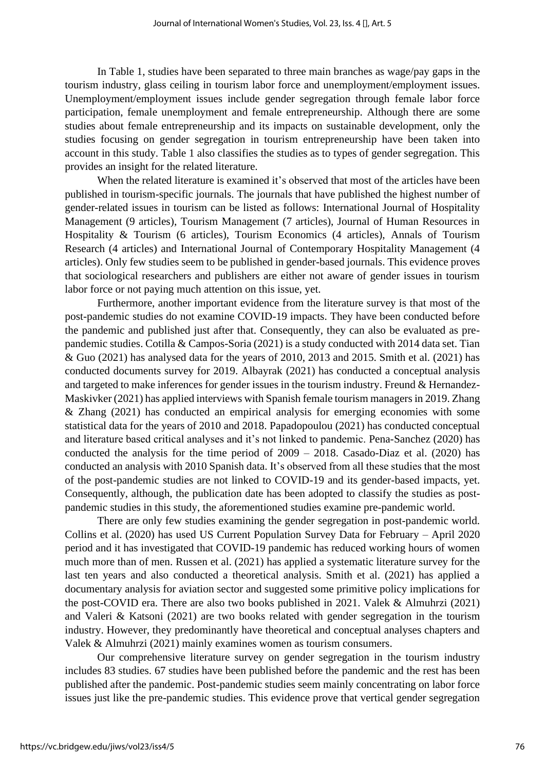In Table 1, studies have been separated to three main branches as wage/pay gaps in the tourism industry, glass ceiling in tourism labor force and unemployment/employment issues. Unemployment/employment issues include gender segregation through female labor force participation, female unemployment and female entrepreneurship. Although there are some studies about female entrepreneurship and its impacts on sustainable development, only the studies focusing on gender segregation in tourism entrepreneurship have been taken into account in this study. Table 1 also classifies the studies as to types of gender segregation. This provides an insight for the related literature.

When the related literature is examined it's observed that most of the articles have been published in tourism-specific journals. The journals that have published the highest number of gender-related issues in tourism can be listed as follows: International Journal of Hospitality Management (9 articles), Tourism Management (7 articles), Journal of Human Resources in Hospitality & Tourism (6 articles), Tourism Economics (4 articles), Annals of Tourism Research (4 articles) and International Journal of Contemporary Hospitality Management (4 articles). Only few studies seem to be published in gender-based journals. This evidence proves that sociological researchers and publishers are either not aware of gender issues in tourism labor force or not paying much attention on this issue, yet.

Furthermore, another important evidence from the literature survey is that most of the post-pandemic studies do not examine COVID-19 impacts. They have been conducted before the pandemic and published just after that. Consequently, they can also be evaluated as prepandemic studies. Cotilla & Campos-Soria (2021) is a study conducted with 2014 data set. Tian & Guo (2021) has analysed data for the years of 2010, 2013 and 2015. Smith et al. (2021) has conducted documents survey for 2019. Albayrak (2021) has conducted a conceptual analysis and targeted to make inferences for gender issues in the tourism industry. Freund & Hernandez-Maskivker (2021) has applied interviews with Spanish female tourism managersin 2019. Zhang & Zhang (2021) has conducted an empirical analysis for emerging economies with some statistical data for the years of 2010 and 2018. Papadopoulou (2021) has conducted conceptual and literature based critical analyses and it's not linked to pandemic. Pena-Sanchez (2020) has conducted the analysis for the time period of  $2009 - 2018$ . Casado-Diaz et al. (2020) has conducted an analysis with 2010 Spanish data. It's observed from all these studies that the most of the post-pandemic studies are not linked to COVID-19 and its gender-based impacts, yet. Consequently, although, the publication date has been adopted to classify the studies as postpandemic studies in this study, the aforementioned studies examine pre-pandemic world.

There are only few studies examining the gender segregation in post-pandemic world. Collins et al. (2020) has used US Current Population Survey Data for February – April 2020 period and it has investigated that COVID-19 pandemic has reduced working hours of women much more than of men. Russen et al. (2021) has applied a systematic literature survey for the last ten years and also conducted a theoretical analysis. Smith et al. (2021) has applied a documentary analysis for aviation sector and suggested some primitive policy implications for the post-COVID era. There are also two books published in 2021. Valek & Almuhrzi (2021) and Valeri & Katsoni (2021) are two books related with gender segregation in the tourism industry. However, they predominantly have theoretical and conceptual analyses chapters and Valek & Almuhrzi (2021) mainly examines women as tourism consumers.

Our comprehensive literature survey on gender segregation in the tourism industry includes 83 studies. 67 studies have been published before the pandemic and the rest has been published after the pandemic. Post-pandemic studies seem mainly concentrating on labor force issues just like the pre-pandemic studies. This evidence prove that vertical gender segregation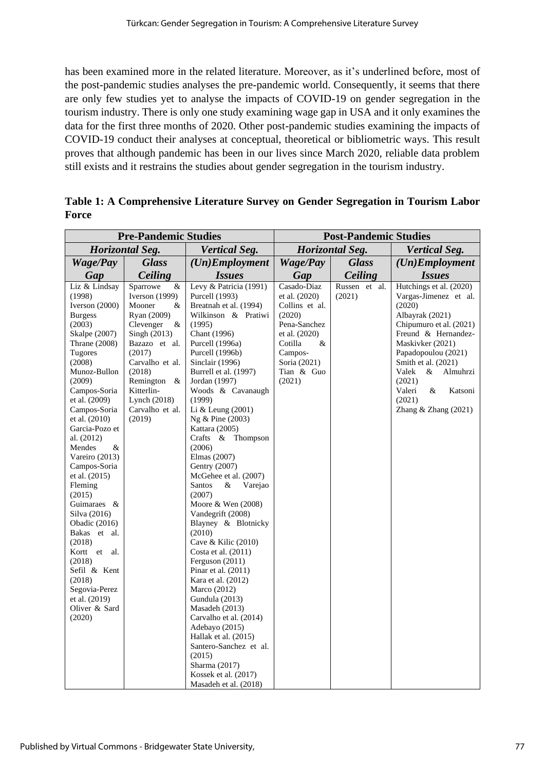has been examined more in the related literature. Moreover, as it's underlined before, most of the post-pandemic studies analyses the pre-pandemic world. Consequently, it seems that there are only few studies yet to analyse the impacts of COVID-19 on gender segregation in the tourism industry. There is only one study examining wage gap in USA and it only examines the data for the first three months of 2020. Other post-pandemic studies examining the impacts of COVID-19 conduct their analyses at conceptual, theoretical or bibliometric ways. This result proves that although pandemic has been in our lives since March 2020, reliable data problem still exists and it restrains the studies about gender segregation in the tourism industry.

| <b>Pre-Pandemic Studies</b>                                                                                                                                                                                                                                                                                                                                                                                                                                                                                                                   |                                                                                                                                                                                                                                              |                                                                                                                                                                                                                                                                                                                                                                                                                                                                                                                                                                                                                                                                                                                                                                                                                                                                                           | <b>Post-Pandemic Studies</b>                                                                                                                                 |                         |                                                                                                                                                                                                                                                                                                     |
|-----------------------------------------------------------------------------------------------------------------------------------------------------------------------------------------------------------------------------------------------------------------------------------------------------------------------------------------------------------------------------------------------------------------------------------------------------------------------------------------------------------------------------------------------|----------------------------------------------------------------------------------------------------------------------------------------------------------------------------------------------------------------------------------------------|-------------------------------------------------------------------------------------------------------------------------------------------------------------------------------------------------------------------------------------------------------------------------------------------------------------------------------------------------------------------------------------------------------------------------------------------------------------------------------------------------------------------------------------------------------------------------------------------------------------------------------------------------------------------------------------------------------------------------------------------------------------------------------------------------------------------------------------------------------------------------------------------|--------------------------------------------------------------------------------------------------------------------------------------------------------------|-------------------------|-----------------------------------------------------------------------------------------------------------------------------------------------------------------------------------------------------------------------------------------------------------------------------------------------------|
| Horizontal Seg.                                                                                                                                                                                                                                                                                                                                                                                                                                                                                                                               |                                                                                                                                                                                                                                              | <b>Vertical Seg.</b>                                                                                                                                                                                                                                                                                                                                                                                                                                                                                                                                                                                                                                                                                                                                                                                                                                                                      | Horizontal Seg.                                                                                                                                              |                         | <b>Vertical Seg.</b>                                                                                                                                                                                                                                                                                |
| <b>Wage/Pay</b>                                                                                                                                                                                                                                                                                                                                                                                                                                                                                                                               | <b>Glass</b>                                                                                                                                                                                                                                 | (Un)Employment                                                                                                                                                                                                                                                                                                                                                                                                                                                                                                                                                                                                                                                                                                                                                                                                                                                                            | <b>Wage/Pay</b>                                                                                                                                              | <b>Glass</b>            | $(Un)$ <i>Employment</i>                                                                                                                                                                                                                                                                            |
| Gap                                                                                                                                                                                                                                                                                                                                                                                                                                                                                                                                           | Ceiling                                                                                                                                                                                                                                      | <b>Issues</b>                                                                                                                                                                                                                                                                                                                                                                                                                                                                                                                                                                                                                                                                                                                                                                                                                                                                             | Gap                                                                                                                                                          | Ceiling                 | <b>Issues</b>                                                                                                                                                                                                                                                                                       |
| Liz & Lindsay<br>(1998)<br>Iverson (2000)<br><b>Burgess</b><br>(2003)<br>Skalpe (2007)<br>Thrane (2008)<br>Tugores<br>(2008)<br>Munoz-Bullon<br>(2009)<br>Campos-Soria<br>et al. (2009)<br>Campos-Soria<br>et al. (2010)<br>Garcia-Pozo et<br>al. (2012)<br>&<br>Mendes<br>Vareiro (2013)<br>Campos-Soria<br>et al. (2015)<br>Fleming<br>(2015)<br>Guimaraes &<br>Silva (2016)<br>Obadic (2016)<br>Bakas et al.<br>(2018)<br>Kortt et<br>al.<br>(2018)<br>Sefil & Kent<br>(2018)<br>Segovia-Perez<br>et al. (2019)<br>Oliver & Sard<br>(2020) | Sparrowe<br>&<br><b>Iverson</b> (1999)<br>Mooner<br>&<br>Ryan (2009)<br>Clevenger<br>- &<br>Singh $(2013)$<br>Bazazo et al.<br>(2017)<br>Carvalho et al.<br>(2018)<br>Remington &<br>Kitterlin-<br>Lynch (2018)<br>Carvalho et al.<br>(2019) | Levy & Patricia (1991)<br>Purcell (1993)<br>Breatnah et al. (1994)<br>Wilkinson & Pratiwi<br>(1995)<br><b>Chant</b> (1996)<br>Purcell (1996a)<br>Purcell (1996b)<br>Sinclair (1996)<br>Burrell et al. (1997)<br>Jordan (1997)<br>Woods & Cavanaugh<br>(1999)<br>Li & Leung (2001)<br>Ng & Pine (2003)<br>Kattara (2005)<br>Crafts & Thompson<br>(2006)<br>Elmas (2007)<br>Gentry (2007)<br>McGehee et al. (2007)<br><b>Santos</b><br>&<br>Varejao<br>(2007)<br>Moore & Wen (2008)<br>Vandegrift (2008)<br>Blayney & Blotnicky<br>(2010)<br>Cave & Kilic (2010)<br>Costa et al. (2011)<br>Ferguson $(2011)$<br>Pinar et al. $(2011)$<br>Kara et al. (2012)<br>Marco (2012)<br>Gundula (2013)<br>Masadeh (2013)<br>Carvalho et al. (2014)<br>Adebayo (2015)<br>Hallak et al. (2015)<br>Santero-Sanchez et al.<br>(2015)<br>Sharma (2017)<br>Kossek et al. $(2017)$<br>Masadeh et al. (2018) | Casado-Diaz<br>et al. (2020)<br>Collins et al.<br>(2020)<br>Pena-Sanchez<br>et al. (2020)<br>&<br>Cotilla<br>Campos-<br>Soria (2021)<br>Tian & Guo<br>(2021) | Russen et al.<br>(2021) | Hutchings et al. (2020)<br>Vargas-Jimenez et al.<br>(2020)<br>Albayrak (2021)<br>Chipumuro et al. (2021)<br>Freund & Hernandez-<br>Maskivker (2021)<br>Papadopoulou (2021)<br>Smith et al. (2021)<br>Valek<br>Almuhrzi<br>&<br>(2021)<br>Valeri<br>&<br>Katsoni<br>(2021)<br>Zhang $&$ Zhang (2021) |

**Table 1: A Comprehensive Literature Survey on Gender Segregation in Tourism Labor Force**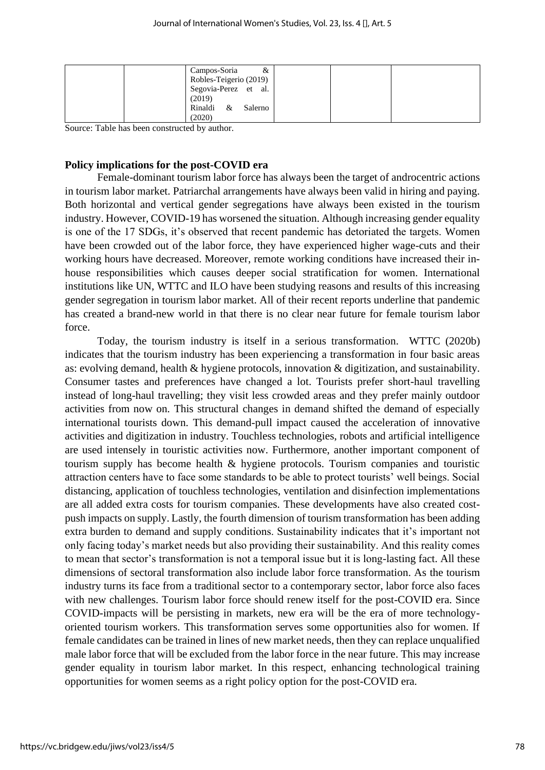| Campos-Soria<br>&<br>Robles-Teigerio (2019)<br>Segovia-Perez et al.<br>(2019) |
|-------------------------------------------------------------------------------|
| Rinaldi & Salerno<br>(2020)                                                   |

Source: Table has been constructed by author.

## **Policy implications for the post-COVID era**

Female-dominant tourism labor force has always been the target of androcentric actions in tourism labor market. Patriarchal arrangements have always been valid in hiring and paying. Both horizontal and vertical gender segregations have always been existed in the tourism industry. However, COVID-19 has worsened the situation. Although increasing gender equality is one of the 17 SDGs, it's observed that recent pandemic has detoriated the targets. Women have been crowded out of the labor force, they have experienced higher wage-cuts and their working hours have decreased. Moreover, remote working conditions have increased their inhouse responsibilities which causes deeper social stratification for women. International institutions like UN, WTTC and ILO have been studying reasons and results of this increasing gender segregation in tourism labor market. All of their recent reports underline that pandemic has created a brand-new world in that there is no clear near future for female tourism labor force.

Today, the tourism industry is itself in a serious transformation. WTTC (2020b) indicates that the tourism industry has been experiencing a transformation in four basic areas as: evolving demand, health & hygiene protocols, innovation & digitization, and sustainability. Consumer tastes and preferences have changed a lot. Tourists prefer short-haul travelling instead of long-haul travelling; they visit less crowded areas and they prefer mainly outdoor activities from now on. This structural changes in demand shifted the demand of especially international tourists down. This demand-pull impact caused the acceleration of innovative activities and digitization in industry. Touchless technologies, robots and artificial intelligence are used intensely in touristic activities now. Furthermore, another important component of tourism supply has become health & hygiene protocols. Tourism companies and touristic attraction centers have to face some standards to be able to protect tourists' well beings. Social distancing, application of touchless technologies, ventilation and disinfection implementations are all added extra costs for tourism companies. These developments have also created costpush impacts on supply. Lastly, the fourth dimension of tourism transformation has been adding extra burden to demand and supply conditions. Sustainability indicates that it's important not only facing today's market needs but also providing their sustainability. And this reality comes to mean that sector's transformation is not a temporal issue but it is long-lasting fact. All these dimensions of sectoral transformation also include labor force transformation. As the tourism industry turns its face from a traditional sector to a contemporary sector, labor force also faces with new challenges. Tourism labor force should renew itself for the post-COVID era. Since COVID-impacts will be persisting in markets, new era will be the era of more technologyoriented tourism workers. This transformation serves some opportunities also for women. If female candidates can be trained in lines of new market needs, then they can replace unqualified male labor force that will be excluded from the labor force in the near future. This may increase gender equality in tourism labor market. In this respect, enhancing technological training opportunities for women seems as a right policy option for the post-COVID era.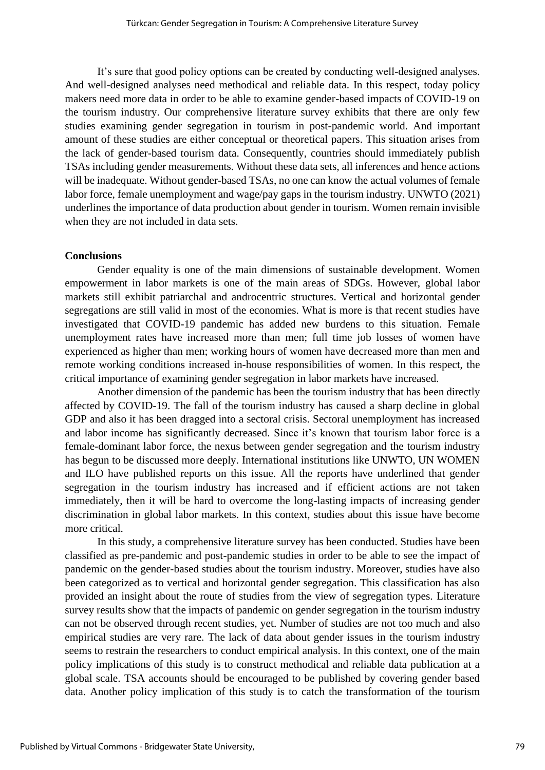It's sure that good policy options can be created by conducting well-designed analyses. And well-designed analyses need methodical and reliable data. In this respect, today policy makers need more data in order to be able to examine gender-based impacts of COVID-19 on the tourism industry. Our comprehensive literature survey exhibits that there are only few studies examining gender segregation in tourism in post-pandemic world. And important amount of these studies are either conceptual or theoretical papers. This situation arises from the lack of gender-based tourism data. Consequently, countries should immediately publish TSAs including gender measurements. Without these data sets, all inferences and hence actions will be inadequate. Without gender-based TSAs, no one can know the actual volumes of female labor force, female unemployment and wage/pay gaps in the tourism industry. UNWTO (2021) underlines the importance of data production about gender in tourism. Women remain invisible when they are not included in data sets.

## **Conclusions**

Gender equality is one of the main dimensions of sustainable development. Women empowerment in labor markets is one of the main areas of SDGs. However, global labor markets still exhibit patriarchal and androcentric structures. Vertical and horizontal gender segregations are still valid in most of the economies. What is more is that recent studies have investigated that COVID-19 pandemic has added new burdens to this situation. Female unemployment rates have increased more than men; full time job losses of women have experienced as higher than men; working hours of women have decreased more than men and remote working conditions increased in-house responsibilities of women. In this respect, the critical importance of examining gender segregation in labor markets have increased.

Another dimension of the pandemic has been the tourism industry that has been directly affected by COVID-19. The fall of the tourism industry has caused a sharp decline in global GDP and also it has been dragged into a sectoral crisis. Sectoral unemployment has increased and labor income has significantly decreased. Since it's known that tourism labor force is a female-dominant labor force, the nexus between gender segregation and the tourism industry has begun to be discussed more deeply. International institutions like UNWTO, UN WOMEN and ILO have published reports on this issue. All the reports have underlined that gender segregation in the tourism industry has increased and if efficient actions are not taken immediately, then it will be hard to overcome the long-lasting impacts of increasing gender discrimination in global labor markets. In this context, studies about this issue have become more critical.

In this study, a comprehensive literature survey has been conducted. Studies have been classified as pre-pandemic and post-pandemic studies in order to be able to see the impact of pandemic on the gender-based studies about the tourism industry. Moreover, studies have also been categorized as to vertical and horizontal gender segregation. This classification has also provided an insight about the route of studies from the view of segregation types. Literature survey results show that the impacts of pandemic on gender segregation in the tourism industry can not be observed through recent studies, yet. Number of studies are not too much and also empirical studies are very rare. The lack of data about gender issues in the tourism industry seems to restrain the researchers to conduct empirical analysis. In this context, one of the main policy implications of this study is to construct methodical and reliable data publication at a global scale. TSA accounts should be encouraged to be published by covering gender based data. Another policy implication of this study is to catch the transformation of the tourism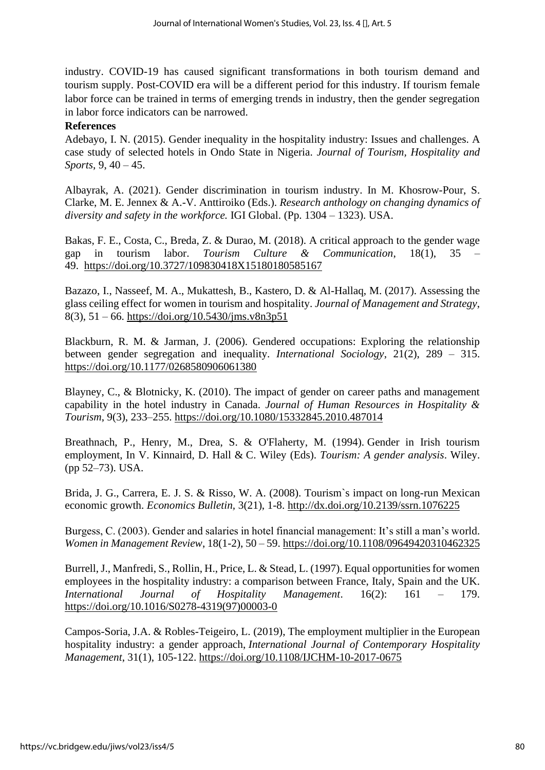industry. COVID-19 has caused significant transformations in both tourism demand and tourism supply. Post-COVID era will be a different period for this industry. If tourism female labor force can be trained in terms of emerging trends in industry, then the gender segregation in labor force indicators can be narrowed.

## **References**

Adebayo, I. N. (2015). Gender inequality in the hospitality industry: Issues and challenges. A case study of selected hotels in Ondo State in Nigeria. *Journal of Tourism, Hospitality and Sports*, 9, 40 – 45.

Albayrak, A. (2021). Gender discrimination in tourism industry. In M. Khosrow-Pour, S. Clarke, M. E. Jennex & A.-V. Anttiroiko (Eds.). *[Research anthology on changing dynamics of](https://www.igi-global.com/book/research-anthology-changing-dynamics-diversity/282176)  [diversity and safety in the workforce.](https://www.igi-global.com/book/research-anthology-changing-dynamics-diversity/282176)* IGI Global. (Pp. 1304 – 1323). USA.

Bakas, F. E., Costa, C., Breda, Z. & Durao, M. (2018). A critical approach to the gender wage gap in tourism labor. *Tourism Culture & Communication*, 18(1), 35 – 49. <https://doi.org/10.3727/109830418X15180180585167>

Bazazo, I., Nasseef, M. A., Mukattesh, B., Kastero, D. & Al-Hallaq, M. (2017). Assessing the glass ceiling effect for women in tourism and hospitality. *Journal of Management and Strategy*, 8(3), 51 – 66. <https://doi.org/10.5430/jms.v8n3p51>

Blackburn, R. M. & Jarman, J. (2006). Gendered occupations: Exploring the relationship between gender segregation and inequality. *International Sociology*, 21(2), 289 – 315. [https://doi.org/10.1177/0268580906061380](https://doi.org/10.1177%2F0268580906061380)

Blayney, C., & Blotnicky, K. (2010). The impact of gender on career paths and management capability in the hotel industry in Canada. *Journal of Human Resources in Hospitality & Tourism*, 9(3), 233–255. <https://doi.org/10.1080/15332845.2010.487014>

Breathnach, P., Henry, M., Drea, S. & O'Flaherty, M. (1994). Gender in Irish tourism employment, In V. Kinnaird, D. Hall & C. Wiley (Eds). *Tourism: A gender analysis*. Wiley. (pp 52–73). USA.

Brida, J. G., Carrera, E. J. S. & Risso, W. A. (2008). Tourism`s impact on long-run Mexican economic growth. *Economics Bulletin,* 3(21), 1-8. [http://dx.doi.org/10.2139/ssrn.1076225](https://dx.doi.org/10.2139/ssrn.1076225)

Burgess, C. (2003). Gender and salaries in hotel financial management: It's still a man's world. *Women in Management Review*, 18(1-2), 50 – 59. <https://doi.org/10.1108/09649420310462325>

Burrell, J., Manfredi, S., Rollin, H., Price, L. & Stead, L. (1997). Equal opportunities for women employees in the hospitality industry: a comparison between France, Italy, Spain and the UK. *International Journal of Hospitality Management*. 16(2): 161 – 179. [https://doi.org/10.1016/S0278-4319\(97\)00003-0](https://doi.org/10.1016/S0278-4319(97)00003-0)

[Campos-Soria, J.A.](https://www.emerald.com/insight/search?q=Juan%20Antonio%20Campos%20Soria) & [Robles-Teigeiro, L.](https://www.emerald.com/insight/search?q=Luis%20Robles%20Teigeiro) (2019), The employment multiplier in the European hospitality industry: a gender approach, *[International Journal of Contemporary Hospitality](https://www.emerald.com/insight/publication/issn/0959-6119)  [Management](https://www.emerald.com/insight/publication/issn/0959-6119)*, 31(1), 105-122. <https://doi.org/10.1108/IJCHM-10-2017-0675>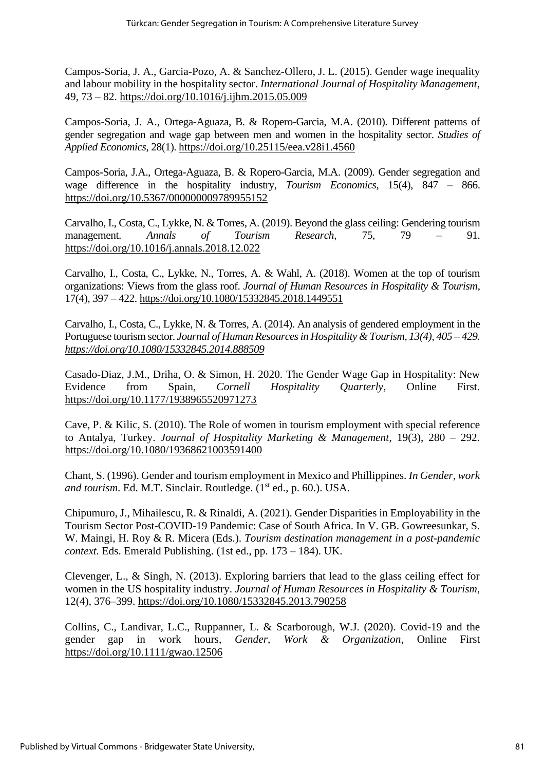Campos-Soria, J. A., Garcia-Pozo, A. & Sanchez-Ollero, J. L. (2015). Gender wage inequality and labour mobility in the hospitality sector. *International Journal of Hospitality Management*, 49, 73 – 82. <https://doi.org/10.1016/j.ijhm.2015.05.009>

Campos-Soria, J. A., Ortega-Aguaza, B. & Ropero-Garcia, M.A. (2010). Different patterns of gender segregation and wage gap between men and women in the hospitality sector. *Studies of Applied Economics*, 28(1). <https://doi.org/10.25115/eea.v28i1.4560>

Campos-Soria, J.A., Ortega-Aguaza, B. & Ropero-Garcia, M.A. (2009). Gender segregation and wage difference in the hospitality industry, *Tourism Economics*, 15(4), 847 – 866. [https://doi.org/10.5367/000000009789955152](https://doi.org/10.5367%2F000000009789955152)

Carvalho, I., Costa, C., Lykke, N. & Torres, A. (2019). Beyond the glass ceiling: Gendering tourism management. *Annals of Tourism Research*, 75, 79 – 91. <https://doi.org/10.1016/j.annals.2018.12.022>

Carvalho, I., Costa, C., Lykke, N., Torres, A. & Wahl, A. (2018). Women at the top of tourism organizations: Views from the glass roof. *Journal of Human Resources in Hospitality & Tourism*, 17(4), 397 – 422[. https://doi.org/10.1080/15332845.2018.1449551](https://doi.org/10.1080/15332845.2018.1449551)

Carvalho, I., Costa, C., Lykke, N. & Torres, A. (2014). An analysis of gendered employment in the Portuguese tourism sector. *Journal of Human Resources in Hospitality & Tourism, 13(4), 405 – 429. <https://doi.org/10.1080/15332845.2014.888509>*

Casado-Diaz, J.M., Driha, O. & Simon, H. 2020. The Gender Wage Gap in Hospitality: New Evidence from Spain, *Cornell Hospitality Quarterly*, Online First. [https://doi.org/10.1177/1938965520971273](https://doi.org/10.1177%2F1938965520971273)

Cave, P. & Kilic, S. (2010). The Role of women in tourism employment with special reference to Antalya, Turkey. *Journal of Hospitality Marketing & Management*, 19(3), 280 – 292. <https://doi.org/10.1080/19368621003591400>

Chant, S. (1996). Gender and tourism employment in Mexico and Phillippines. *In Gender, work*  and tourism. Ed. M.T. Sinclair. Routledge. (1<sup>st</sup> ed., p. 60.). USA.

Chipumuro, J., Mihailescu, R. & Rinaldi, A. (2021). Gender Disparities in Employability in the Tourism Sector Post-COVID-19 Pandemic: Case of South Africa. In V. GB. Gowreesunkar, S. W. Maingi, H. Roy & R. Micera (Eds.). *Tourism destination management in a post-pandemic context.* Eds. Emerald Publishing. (1st ed., pp. 173 – 184). UK.

Clevenger, L., & Singh, N. (2013). Exploring barriers that lead to the glass ceiling effect for women in the US hospitality industry. *Journal of Human Resources in Hospitality & Tourism*, 12(4), 376–399. <https://doi.org/10.1080/15332845.2013.790258>

Collins, C., Landivar, L.C., Ruppanner, L. & Scarborough, W.J. (2020). Covid-19 and the gender gap in work hours, *Gender, Work & Organization*, Online First <https://doi.org/10.1111/gwao.12506>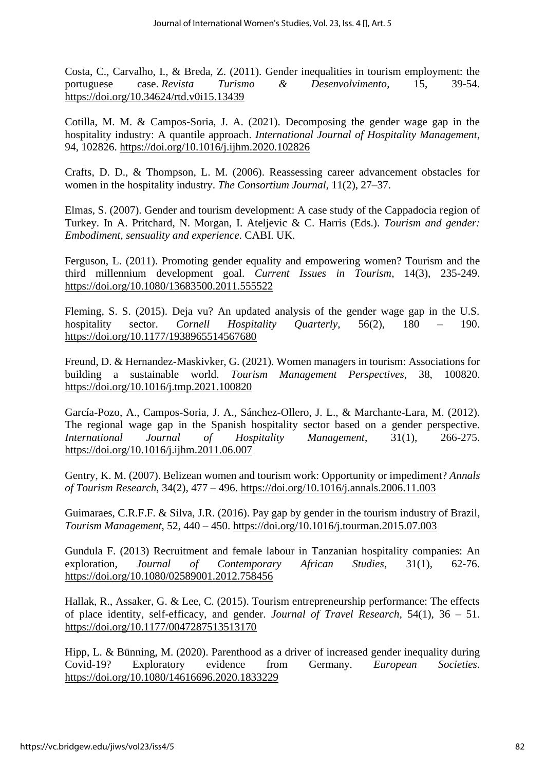Costa, C., Carvalho, I., & Breda, Z. (2011). Gender inequalities in tourism employment: the portuguese case. *Revista Turismo & Desenvolvimento*, 15, 39-54. <https://doi.org/10.34624/rtd.v0i15.13439>

Cotilla, M. M. & Campos-Soria, J. A. (2021). Decomposing the gender wage gap in the hospitality industry: A quantile approach. *International Journal of Hospitality Management*, 94, 102826.<https://doi.org/10.1016/j.ijhm.2020.102826>

Crafts, D. D., & Thompson, L. M. (2006). Reassessing career advancement obstacles for women in the hospitality industry. *The Consortium Journal*, 11(2), 27–37.

Elmas, S. (2007). Gender and tourism development: A case study of the Cappadocia region of Turkey. In A. Pritchard, N. Morgan, I. Ateljevic & C. Harris (Eds.). *Tourism and gender: Embodiment, sensuality and experience*. CABI. UK.

Ferguson, L. (2011). Promoting gender equality and empowering women? Tourism and the third millennium development goal. *Current Issues in Tourism*, 14(3), 235-249. <https://doi.org/10.1080/13683500.2011.555522>

Fleming, S. S. (2015). Deja vu? An updated analysis of the gender wage gap in the U.S. hospitality sector. *Cornell Hospitality Quarterly*, 56(2), 180 – 190. [https://doi.org/10.1177/1938965514567680](https://doi.org/10.1177%2F1938965514567680)

Freund, D. & Hernandez-Maskivker, G. (2021). Women managers in tourism: Associations for building a sustainable world. *Tourism Management Perspectives*, 38, 100820. <https://doi.org/10.1016/j.tmp.2021.100820>

García-Pozo, A., Campos-Soria, J. A., Sánchez-Ollero, J. L., & Marchante-Lara, M. (2012). The regional wage gap in the Spanish hospitality sector based on a gender perspective. *International Journal of Hospitality Management*, 31(1), 266-275. <https://doi.org/10.1016/j.ijhm.2011.06.007>

Gentry, K. M. (2007). Belizean women and tourism work: Opportunity or impediment? *Annals of Tourism Research*, 34(2), 477 – 496. <https://doi.org/10.1016/j.annals.2006.11.003>

Guimaraes, C.R.F.F. & Silva, J.R. (2016). Pay gap by gender in the tourism industry of Brazil, *Tourism Management*, 52, 440 – 450.<https://doi.org/10.1016/j.tourman.2015.07.003>

Gundula F. (2013) Recruitment and female labour in Tanzanian hospitality companies: An exploration, *Journal of Contemporary African Studies*, 31(1), 62-76. <https://doi.org/10.1080/02589001.2012.758456>

Hallak, R., Assaker, G. & Lee, C. (2015). Tourism entrepreneurship performance: The effects of place identity, self-efficacy, and gender. *Journal of Travel Research,* 54(1), 36 – 51. [https://doi.org/10.1177/0047287513513170](https://doi.org/10.1177%2F0047287513513170)

Hipp, L. & Bünning, M. (2020). Parenthood as a driver of increased gender inequality during Covid-19? Exploratory evidence from Germany. *European Societies*. <https://doi.org/10.1080/14616696.2020.1833229>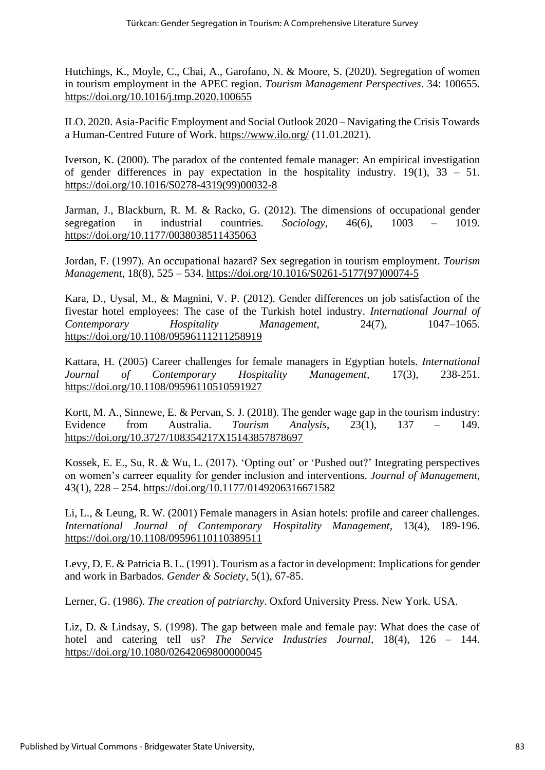Hutchings, K., Moyle, C., Chai, A., Garofano, N. & Moore, S. (2020). Segregation of women in tourism employment in the APEC region. *Tourism Management Perspectives*. 34: 100655. <https://doi.org/10.1016/j.tmp.2020.100655>

ILO. 2020. Asia-Pacific Employment and Social Outlook 2020 – Navigating the Crisis Towards a Human-Centred Future of Work.<https://www.ilo.org/> (11.01.2021).

Iverson, K. (2000). The paradox of the contented female manager: An empirical investigation of gender differences in pay expectation in the hospitality industry. 19(1), 33 – 51. [https://doi.org/10.1016/S0278-4319\(99\)00032-8](https://doi.org/10.1016/S0278-4319(99)00032-8)

Jarman, J., Blackburn, R. M. & Racko, G. (2012). The dimensions of occupational gender segregation in industrial countries. *Sociology*, 46(6), 1003 – 1019. [https://doi.org/10.1177/0038038511435063](https://doi.org/10.1177%2F0038038511435063)

Jordan, F. (1997). An occupational hazard? Sex segregation in tourism employment. *Tourism Management*, 18(8), 525 – 534. [https://doi.org/10.1016/S0261-5177\(97\)00074-5](https://doi.org/10.1016/S0261-5177(97)00074-5)

Kara, D., Uysal, M., & Magnini, V. P. (2012). Gender differences on job satisfaction of the fivestar hotel employees: The case of the Turkish hotel industry. *International Journal of Contemporary Hospitality Management*, 24(7), 1047–1065. <https://doi.org/10.1108/09596111211258919>

Kattara, H. (2005) Career challenges for female managers in Egyptian hotels. *International Journal of Contemporary Hospitality Management,* 17(3), 238-251. <https://doi.org/10.1108/09596110510591927>

Kortt, M. A., Sinnewe, E. & Pervan, S. J. (2018). The gender wage gap in the tourism industry: Evidence from Australia. *Tourism Analysis*, 23(1), 137 – 149. <https://doi.org/10.3727/108354217X15143857878697>

Kossek, E. E., Su, R. & Wu, L. (2017). 'Opting out' or 'Pushed out?' Integrating perspectives on women's carreer equality for gender inclusion and interventions. *Journal of Management*, 43(1), 228 – 254. [https://doi.org/10.1177/0149206316671582](https://doi.org/10.1177%2F0149206316671582)

Li, L., & Leung, R. W. (2001) Female managers in Asian hotels: profile and career challenges. *International Journal of Contemporary Hospitality Management,* 13(4), 189-196. <https://doi.org/10.1108/09596110110389511>

Levy, D. E. & Patricia B. L. (1991). Tourism as a factor in development: Implications for gender and work in Barbados. *Gender & Society,* 5(1), 67-85.

Lerner, G. (1986). *The creation of patriarchy*. Oxford University Press. New York. USA.

Liz, D. & Lindsay, S. (1998). The gap between male and female pay: What does the case of hotel and catering tell us? *The Service Industries Journal,* 18(4), 126 – 144. <https://doi.org/10.1080/02642069800000045>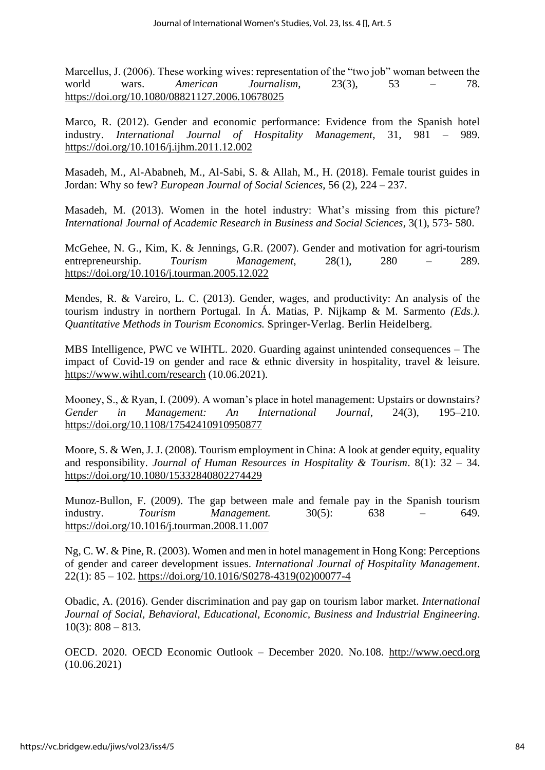Marcellus, J. (2006). These working wives: representation of the "two job" woman between the world wars. *American Journalism*, 23(3), 53 – 78. <https://doi.org/10.1080/08821127.2006.10678025>

Marco, R. (2012). Gender and economic performance: Evidence from the Spanish hotel industry. *International Journal of Hospitality Management*, 31, 981 – 989. <https://doi.org/10.1016/j.ijhm.2011.12.002>

Masadeh, M., Al-Ababneh, M., Al-Sabi, S. & Allah, M., H. (2018). Female tourist guides in Jordan: Why so few? *European Journal of Social Sciences*, 56 (2), 224 – 237.

Masadeh, M. (2013). Women in the hotel industry: What's missing from this picture? *International Journal of Academic Research in Business and Social Sciences,* 3(1), 573- 580.

McGehee, N. G., Kim, K. & Jennings, G.R. (2007). Gender and motivation for agri-tourism entrepreneurship. *Tourism Management*, 28(1), 280 – 289. <https://doi.org/10.1016/j.tourman.2005.12.022>

Mendes, R. & Vareiro, L. C. (2013). Gender, wages, and productivity: An analysis of the tourism industry in northern Portugal. In Á. Matias, P. Nijkamp & M. Sarmento *(Eds.). Quantitative Methods in Tourism Economics.* Springer-Verlag. Berlin Heidelberg.

MBS Intelligence, PWC ve WIHTL. 2020. Guarding against unintended consequences – The impact of Covid-19 on gender and race & ethnic diversity in hospitality, travel & leisure. <https://www.wihtl.com/research> (10.06.2021).

Mooney, S., & Ryan, I. (2009). A woman's place in hotel management: Upstairs or downstairs? *Gender in Management: An International Journal*, 24(3), 195–210. <https://doi.org/10.1108/17542410910950877>

Moore, S. & Wen, J. J. (2008). Tourism employment in China: A look at gender equity, equality and responsibility. *Journal of Human Resources in Hospitality & Tourism*. 8(1): 32 – 34. <https://doi.org/10.1080/15332840802274429>

Munoz-Bullon, F. (2009). The gap between male and female pay in the Spanish tourism industry. *Tourism Management.* 30(5): 638 – 649. <https://doi.org/10.1016/j.tourman.2008.11.007>

Ng, C. W. & Pine, R. (2003). Women and men in hotel management in Hong Kong: Perceptions of gender and career development issues. *International Journal of Hospitality Management*. 22(1): 85 – 102. [https://doi.org/10.1016/S0278-4319\(02\)00077-4](https://doi.org/10.1016/S0278-4319(02)00077-4)

Obadic, A. (2016). Gender discrimination and pay gap on tourism labor market. *International Journal of Social, Behavioral, Educational, Economic, Business and Industrial Engineering*.  $10(3)$ : 808 – 813.

OECD. 2020. OECD Economic Outlook – December 2020. No.108. [http://www.oecd.org](http://www.oecd.org/) (10.06.2021)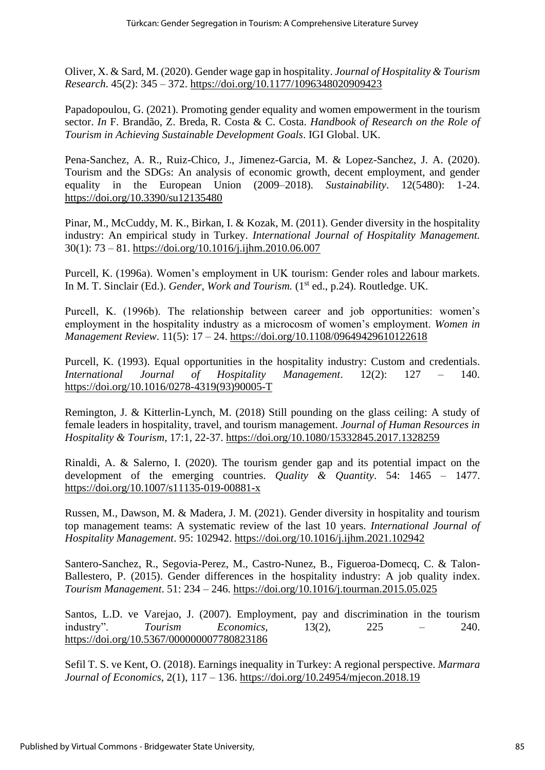Oliver, X. & Sard, M. (2020). Gender wage gap in hospitality. *Journal of Hospitality & Tourism Research*. 45(2): 345 – 372. [https://doi.org/10.1177/1096348020909423](https://doi.org/10.1177%2F1096348020909423)

Papadopoulou, G. (2021). Promoting gender equality and women empowerment in the tourism sector. *In* F. Brandão, Z. Breda, R. Costa & C. Costa. *Handbook of Research on the Role of Tourism in Achieving Sustainable Development Goals*. IGI Global. UK.

Pena-Sanchez, A. R., Ruiz-Chico, J., Jimenez-Garcia, M. & Lopez-Sanchez, J. A. (2020). Tourism and the SDGs: An analysis of economic growth, decent employment, and gender equality in the European Union (2009–2018). *Sustainability*. 12(5480): 1-24. <https://doi.org/10.3390/su12135480>

Pinar, M., McCuddy, M. K., Birkan, I. & Kozak, M. (2011). Gender diversity in the hospitality industry: An empirical study in Turkey. *International Journal of Hospitality Management.* 30(1): 73 – 81.<https://doi.org/10.1016/j.ijhm.2010.06.007>

Purcell, K. (1996a). Women's employment in UK tourism: Gender roles and labour markets. In M. T. Sinclair (Ed.). *Gender, Work and Tourism*. (1<sup>st</sup> ed., p.24). Routledge. UK.

Purcell, K. (1996b). The relationship between career and job opportunities: women's employment in the hospitality industry as a microcosm of women's employment. *Women in Management Review*. 11(5): 17 – 24.<https://doi.org/10.1108/09649429610122618>

Purcell, K. (1993). Equal opportunities in the hospitality industry: Custom and credentials. *International Journal of Hospitality Management*. 12(2): 127 – 140. [https://doi.org/10.1016/0278-4319\(93\)90005-T](https://doi.org/10.1016/0278-4319(93)90005-T)

Remington, J. & Kitterlin-Lynch, M. (2018) Still pounding on the glass ceiling: A study of female leaders in hospitality, travel, and tourism management. *Journal of Human Resources in Hospitality & Tourism*, 17:1, 22-37. <https://doi.org/10.1080/15332845.2017.1328259>

Rinaldi, A. & Salerno, I. (2020). The tourism gender gap and its potential impact on the development of the emerging countries. *Quality & Quantity*. 54: 1465 – 1477. <https://doi.org/10.1007/s11135-019-00881-x>

Russen, M., Dawson, M. & Madera, J. M. (2021). Gender diversity in hospitality and tourism top management teams: A systematic review of the last 10 years. *International Journal of Hospitality Management*. 95: 102942. <https://doi.org/10.1016/j.ijhm.2021.102942>

Santero-Sanchez, R., Segovia-Perez, M., Castro-Nunez, B., Figueroa-Domecq, C. & Talon-Ballestero, P. (2015). Gender differences in the hospitality industry: A job quality index. *Tourism Management*. 51: 234 – 246.<https://doi.org/10.1016/j.tourman.2015.05.025>

Santos, L.D. ve Varejao, J. (2007). Employment, pay and discrimination in the tourism industry". *Tourism Economics,* 13(2), 225 – 240. [https://doi.org/10.5367/000000007780823186](https://doi.org/10.5367%2F000000007780823186)

Sefil T. S. ve Kent, O. (2018). Earnings inequality in Turkey: A regional perspective. *Marmara Journal of Economics*, 2(1), 117 – 136.<https://doi.org/10.24954/mjecon.2018.19>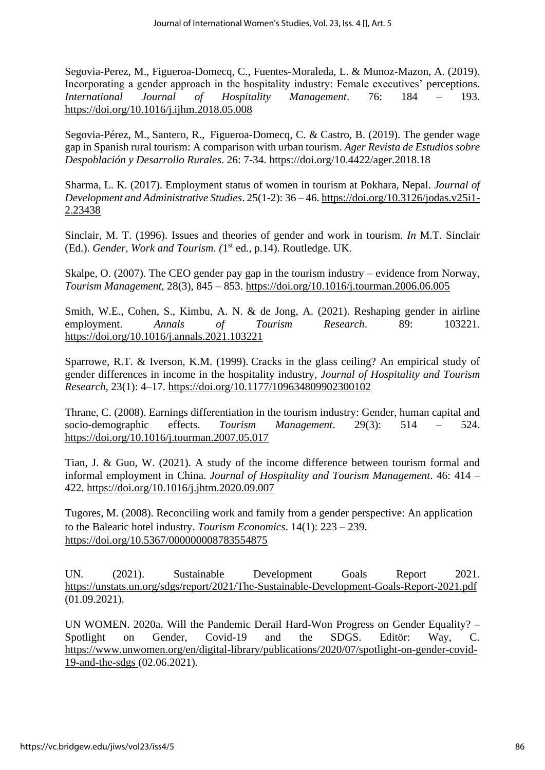Segovia-Perez, M., Figueroa-Domecq, C., Fuentes-Moraleda, L. & Munoz-Mazon, A. (2019). Incorporating a gender approach in the hospitality industry: Female executives' perceptions. *International Journal of Hospitality Management*. 76: 184 – 193. <https://doi.org/10.1016/j.ijhm.2018.05.008>

[Segovia-Pérez, M.,](https://www.cabdirect.org/cabdirect/search/?q=au%3a%22Segovia-P%c3%a9rez%2c+M.%22) [Santero, R.,](https://www.cabdirect.org/cabdirect/search/?q=au%3a%22Santero%2c+R.%22) [Figueroa-Domecq, C.](https://www.cabdirect.org/cabdirect/search/?q=au%3a%22Figueroa-Domecq%2c+C.%22) & [Castro, B.](https://www.cabdirect.org/cabdirect/search/?q=au%3a%22Castro%2c+B.%22) (2019). The gender wage gap in Spanish rural tourism: A comparison with urban tourism. *Ager [Revista de Estudios sobre](https://www.cabdirect.org/cabdirect/search/?q=do%3a%22Ager.+Revista+de+Estudios+sobre+Despoblaci%c3%b3n+y+Desarrollo+Rurales%22)  [Despoblación y Desarrollo Rurales](https://www.cabdirect.org/cabdirect/search/?q=do%3a%22Ager.+Revista+de+Estudios+sobre+Despoblaci%c3%b3n+y+Desarrollo+Rurales%22)*. 26: 7-34. https://doi.org[/10.4422/ager.2018.18](http://dx.doi.org/10.4422/ager.2018.18)

Sharma, L. K. (2017). Employment status of women in tourism at Pokhara, Nepal. *Journal of Development and Administrative Studies*. 25(1-2): 36 – 46. [https://doi.org/10.3126/jodas.v25i1-](https://doi.org/10.3126/jodas.v25i1-2.23438) [2.23438](https://doi.org/10.3126/jodas.v25i1-2.23438)

Sinclair, M. T. (1996). Issues and theories of gender and work in tourism. *In* M.T. Sinclair (Ed.). *Gender, Work and Tourism.* (1<sup>st</sup> ed., p.14). Routledge. UK.

Skalpe, O. (2007). The CEO gender pay gap in the tourism industry – evidence from Norway, *Tourism Management,* 28(3), 845 – 853.<https://doi.org/10.1016/j.tourman.2006.06.005>

Smith, W.E., Cohen, S., Kimbu, A. N. & de Jong, A. (2021). Reshaping gender in airline employment. *Annals of Tourism Research*. 89: 103221. <https://doi.org/10.1016/j.annals.2021.103221>

Sparrowe, R.T. & Iverson, K.M. (1999). Cracks in the glass ceiling? An empirical study of gender differences in income in the hospitality industry, *Journal of Hospitality and Tourism Research*, 23(1): 4–17. [https://doi.org/10.1177/109634809902300102](https://doi.org/10.1177%2F109634809902300102)

Thrane, C. (2008). Earnings differentiation in the tourism industry: Gender, human capital and socio-demographic effects. *Tourism Management*. 29(3): 514 – 524. <https://doi.org/10.1016/j.tourman.2007.05.017>

Tian, J. & Guo, W. (2021). A study of the income difference between tourism formal and informal employment in China. *Journal of Hospitality and Tourism Management*. 46: 414 – 422.<https://doi.org/10.1016/j.jhtm.2020.09.007>

Tugores, M. (2008). Reconciling work and family from a gender perspective: An application to the Balearic hotel industry. *Tourism Economics*. 14(1): 223 – 239. [https://doi.org/10.5367/000000008783554875](https://doi.org/10.5367%2F000000008783554875)

UN. (2021). Sustainable Development Goals Report 2021. <https://unstats.un.org/sdgs/report/2021/The-Sustainable-Development-Goals-Report-2021.pdf> (01.09.2021).

UN WOMEN. 2020a. Will the Pandemic Derail Hard-Won Progress on Gender Equality? – Spotlight on Gender, Covid-19 and the SDGS. Editör: Way, C. [https://www.unwomen.org/en/digital-library/publications/2020/07/spotlight-on-gender-covid-](https://www.unwomen.org/en/digital-library/publications/2020/07/spotlight-on-gender-covid-19-and-the-sdgs)[19-and-the-sdgs](https://www.unwomen.org/en/digital-library/publications/2020/07/spotlight-on-gender-covid-19-and-the-sdgs) (02.06.2021).